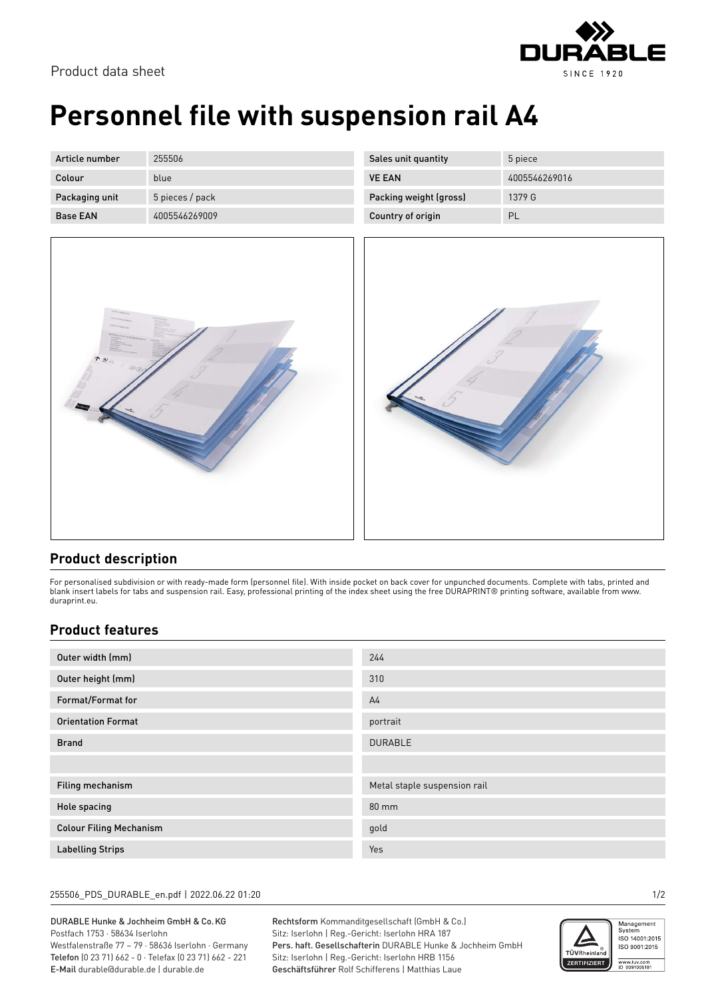

# **Personnel file with suspension rail A4**

| Article number  | 255506          |
|-----------------|-----------------|
| Colour          | blue            |
| Packaging unit  | 5 pieces / pack |
| <b>Base FAN</b> | 4005546269009   |

| Sales unit quantity    | 5 piece       |
|------------------------|---------------|
| <b>VE FAN</b>          | 4005546269016 |
| Packing weight (gross) | 1379 G        |
| Country of origin      | PL            |



## **Product description**

For personalised subdivision or with ready-made form (personnel file). With inside pocket on back cover for unpunched documents. Complete with tabs, printed and blank insert labels for tabs and suspension rail. Easy, professional printing of the index sheet using the free DURAPRINT® printing software, available from www. duraprint.eu.

## **Product features**

| Outer width (mm)               | 244                          |
|--------------------------------|------------------------------|
| Outer height (mm)              | 310                          |
| Format/Format for              | A <sub>4</sub>               |
| <b>Orientation Format</b>      | portrait                     |
| <b>Brand</b>                   | <b>DURABLE</b>               |
|                                |                              |
| Filing mechanism               | Metal staple suspension rail |
| Hole spacing                   | $80 \text{ mm}$              |
| <b>Colour Filing Mechanism</b> | gold                         |
| <b>Labelling Strips</b>        | Yes                          |

#### 255506\_PDS\_DURABLE\_en.pdf | 2022.06.22 01:20 1/2

### DURABLE Hunke & Jochheim GmbH & Co.KG Postfach 1753 · 58634 Iserlohn

Westfalenstraße 77 – 79 · 58636 Iserlohn · Germany Telefon (0 23 71) 662 - 0 · Telefax (0 23 71) 662 - 221 E-Mail durable@durable.de | durable.de

Rechtsform Kommanditgesellschaft (GmbH & Co.) Sitz: Iserlohn | Reg.-Gericht: Iserlohn HRA 187 Pers. haft. Gesellschafterin DURABLE Hunke & Jochheim GmbH Sitz: Iserlohn | Reg.-Gericht: Iserlohn HRB 1156 Geschäftsführer Rolf Schifferens | Matthias Laue